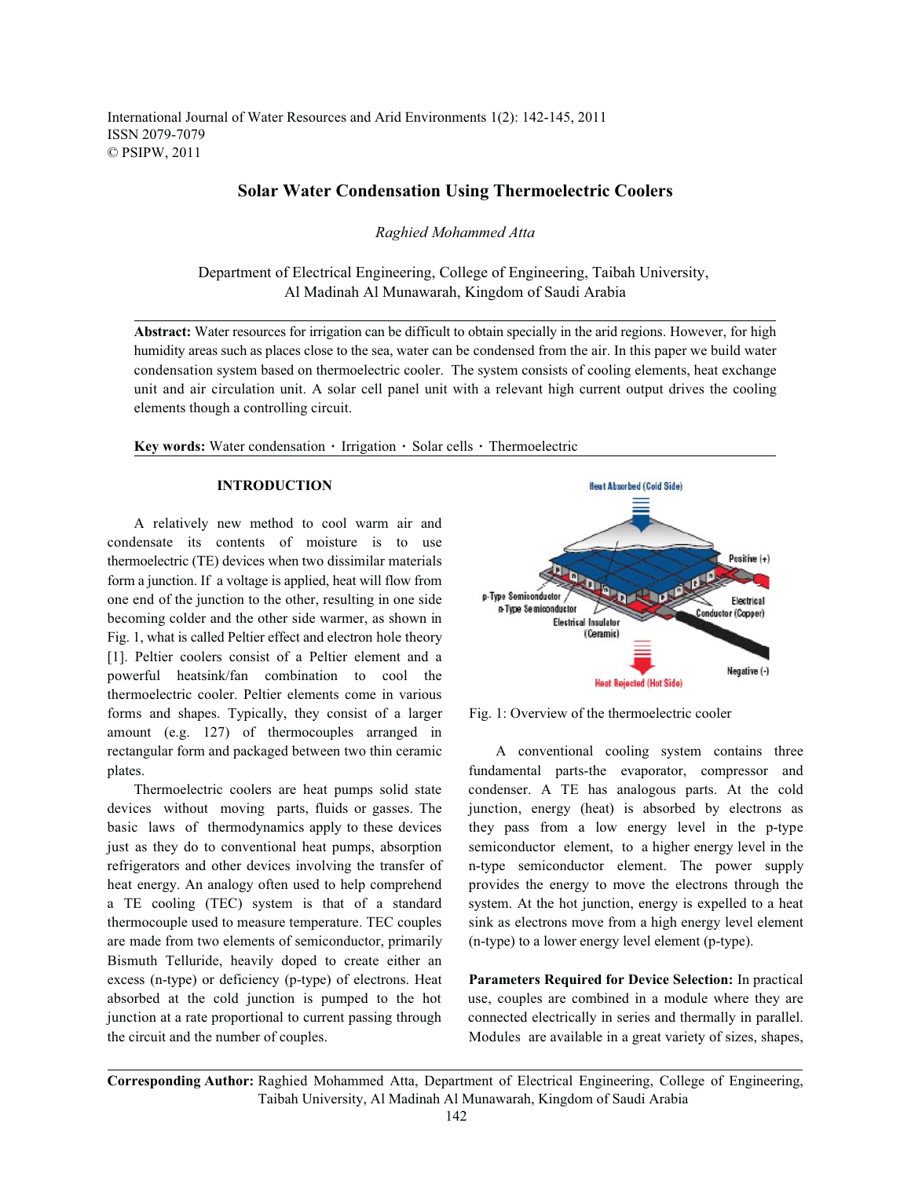International Journal of Water Resources and Arid Environments 1(2): 142-145, 2011 ISSN 2079-7079 © PSIPW, 2011

# **Solar Water Condensation Using Thermoelectric Coolers**

*Raghied Mohammed Atta*

Department of Electrical Engineering, College of Engineering, Taibah University, Al Madinah Al Munawarah, Kingdom of Saudi Arabia

**Abstract:** Water resources for irrigation can be difficult to obtain specially in the arid regions. However, for high humidity areas such as places close to the sea, water can be condensed from the air. In this paper we build water condensation system based on thermoelectric cooler. The system consists of cooling elements, heat exchange unit and air circulation unit. A solar cell panel unit with a relevant high current output drives the cooling elements though a controlling circuit.

**Key words:** Water condensation  $\cdot$  Irrigation  $\cdot$  Solar cells  $\cdot$  Thermoelectric

## **INTRODUCTION**

A relatively new method to cool warm air and condensate its contents of moisture is to use thermoelectric (TE) devices when two dissimilar materials form a junction. If a voltage is applied, heat will flow from one end of the junction to the other, resulting in one side becoming colder and the other side warmer, as shown in Fig. 1, what is called Peltier effect and electron hole theory [1]. Peltier coolers consist of a Peltier element and a powerful heatsink/fan combination to cool the thermoelectric cooler. Peltier elements come in various forms and shapes. Typically, they consist of a larger Fig. 1: Overview of the thermoelectric cooler amount (e.g. 127) of thermocouples arranged in rectangular form and packaged between two thin ceramic A conventional cooling system contains three plates. fundamental parts-the evaporator, compressor and

devices without moving parts, fluids or gasses. The junction, energy (heat) is absorbed by electrons as basic laws of thermodynamics apply to these devices they pass from a low energy level in the p-type just as they do to conventional heat pumps, absorption semiconductor element, to a higher energy level in the refrigerators and other devices involving the transfer of n-type semiconductor element. The power supply heat energy. An analogy often used to help comprehend provides the energy to move the electrons through the a TE cooling (TEC) system is that of a standard system. At the hot junction, energy is expelled to a heat thermocouple used to measure temperature. TEC couples sink as electrons move from a high energy level element are made from two elements of semiconductor, primarily (n-type) to a lower energy level element (p-type). Bismuth Telluride, heavily doped to create either an excess (n-type) or deficiency (p-type) of electrons. Heat **Parameters Required for Device Selection:** In practical absorbed at the cold junction is pumped to the hot use, couples are combined in a module where they are junction at a rate proportional to current passing through connected electrically in series and thermally in parallel. the circuit and the number of couples. Modules are available in a great variety of sizes, shapes,



Thermoelectric coolers are heat pumps solid state condenser. A TE has analogous parts. At the cold

**Corresponding Author:** Raghied Mohammed Atta, Department of Electrical Engineering, College of Engineering, Taibah University, Al Madinah Al Munawarah, Kingdom of Saudi Arabia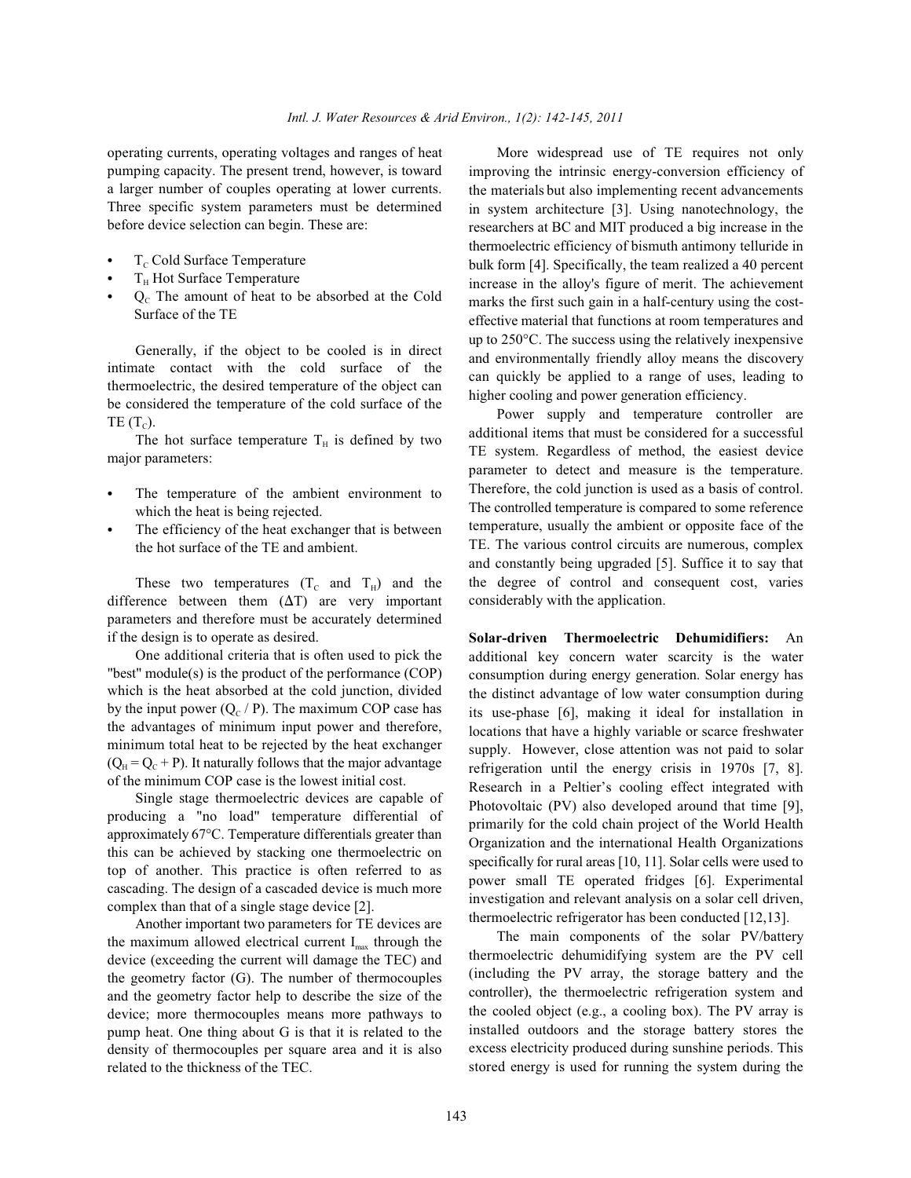pumping capacity. The present trend, however, is toward a larger number of couples operating at lower currents. Three specific system parameters must be determined before device selection can begin. These are:

- T<sub>c</sub> Cold Surface Temperature
- $T_H$  Hot Surface Temperature
- $Q<sub>c</sub>$  The amount of heat to be absorbed at the Cold Surface of the TE

Generally, if the object to be cooled is in direct intimate contact with the cold surface of the thermoelectric, the desired temperature of the object can be considered the temperature of the cold surface of the TE  $(T_c)$ .

The hot surface temperature  $T_H$  is defined by two major parameters:

- The temperature of the ambient environment to which the heat is being rejected.
- The efficiency of the heat exchanger that is between the hot surface of the TE and ambient.

These two temperatures  $(T_c$  and  $T_H$ ) and the difference between them  $(\Delta T)$  are very important parameters and therefore must be accurately determined if the design is to operate as desired.

One additional criteria that is often used to pick the "best" module(s) is the product of the performance (COP) which is the heat absorbed at the cold junction, divided by the input power  $(Q_C / P)$ . The maximum COP case has the advantages of minimum input power and therefore, minimum total heat to be rejected by the heat exchanger  $(Q_H = Q_C + P)$ . It naturally follows that the major advantage of the minimum COP case is the lowest initial cost.

Single stage thermoelectric devices are capable of producing a "no load" temperature differential of approximately 67°C. Temperature differentials greater than this can be achieved by stacking one thermoelectric on top of another. This practice is often referred to as cascading. The design of a cascaded device is much more complex than that of a single stage device [2].

Another important two parameters for TE devices are the maximum allowed electrical current  $I_{\text{max}}$  through the device (exceeding the current will damage the TEC) and the geometry factor (G). The number of thermocouples and the geometry factor help to describe the size of the device; more thermocouples means more pathways to pump heat. One thing about G is that it is related to the density of thermocouples per square area and it is also related to the thickness of the TEC.

operating currents, operating voltages and ranges of heat More widespread use of TE requires not only improving the intrinsic energy-conversion efficiency of the materials but also implementing recent advancements in system architecture [3]. Using nanotechnology, the researchers at BC and MIT produced a big increase in the thermoelectric efficiency of bismuth antimony telluride in bulk form [4]. Specifically, the team realized a 40 percent increase in the alloy's figure of merit. The achievement marks the first such gain in a half-century using the costeffective material that functions at room temperatures and up to 250°C. The success using the relatively inexpensive and environmentally friendly alloy means the discovery can quickly be applied to a range of uses, leading to higher cooling and power generation efficiency.

> Power supply and temperature controller are additional items that must be considered for a successful TE system. Regardless of method, the easiest device parameter to detect and measure is the temperature. Therefore, the cold junction is used as a basis of control. The controlled temperature is compared to some reference temperature, usually the ambient or opposite face of the TE. The various control circuits are numerous, complex and constantly being upgraded [5]. Suffice it to say that the degree of control and consequent cost, varies considerably with the application.

> **Solar-driven Thermoelectric Dehumidifiers:** An additional key concern water scarcity is the water consumption during energy generation. Solar energy has the distinct advantage of low water consumption during its use-phase [6], making it ideal for installation in locations that have a highly variable or scarce freshwater supply. However, close attention was not paid to solar refrigeration until the energy crisis in 1970s [7, 8]. Research in a Peltier's cooling effect integrated with Photovoltaic (PV) also developed around that time [9], primarily for the cold chain project of the World Health Organization and the international Health Organizations specifically for rural areas [10, 11]. Solar cells were used to power small TE operated fridges [6]. Experimental investigation and relevant analysis on a solar cell driven, thermoelectric refrigerator has been conducted [12,13].

> The main components of the solar PV/battery thermoelectric dehumidifying system are the PV cell (including the PV array, the storage battery and the controller), the thermoelectric refrigeration system and the cooled object (e.g., a cooling box). The PV array is installed outdoors and the storage battery stores the excess electricity produced during sunshine periods. This stored energy is used for running the system during the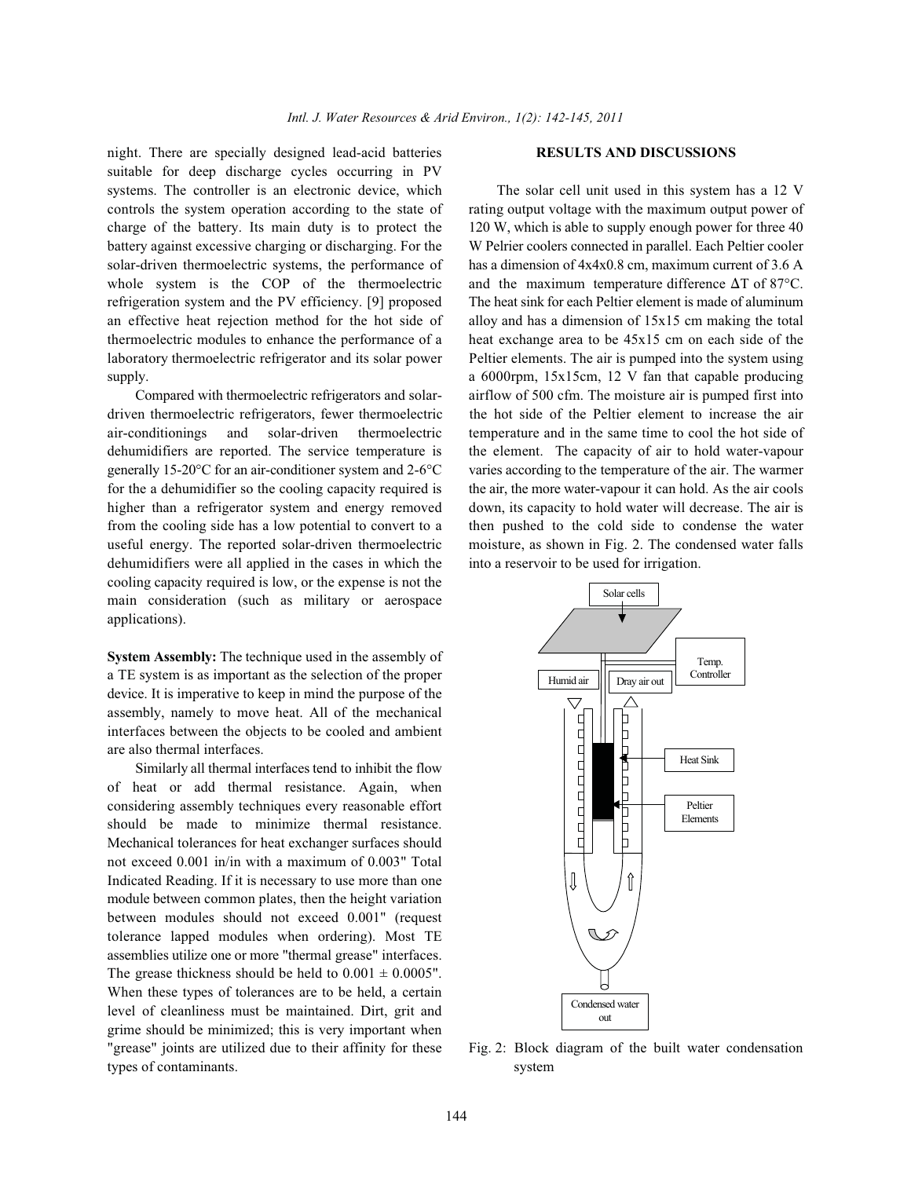night. There are specially designed lead-acid batteries **RESULTS AND DISCUSSIONS** suitable for deep discharge cycles occurring in PV systems. The controller is an electronic device, which The solar cell unit used in this system has a 12 V controls the system operation according to the state of rating output voltage with the maximum output power of charge of the battery. Its main duty is to protect the 120 W, which is able to supply enough power for three 40 battery against excessive charging or discharging. For the W Pelrier coolers connected in parallel. Each Peltier cooler solar-driven thermoelectric systems, the performance of has a dimension of  $4x4x0.8$  cm, maximum current of 3.6 A whole system is the COP of the thermoelectric and the maximum temperature difference  $\Delta T$  of 87°C. refrigeration system and the PV efficiency. [9] proposed The heat sink for each Peltier element is made of aluminum an effective heat rejection method for the hot side of alloy and has a dimension of 15x15 cm making the total thermoelectric modules to enhance the performance of a heat exchange area to be 45x15 cm on each side of the laboratory thermoelectric refrigerator and its solar power Peltier elements. The air is pumped into the system using supply. a 6000rpm, 15x15cm, 12 V fan that capable producing

driven thermoelectric refrigerators, fewer thermoelectric the hot side of the Peltier element to increase the air air-conditionings and solar-driven thermoelectric temperature and in the same time to cool the hot side of dehumidifiers are reported. The service temperature is the element. The capacity of air to hold water-vapour generally 15-20°C for an air-conditioner system and 2-6°C varies according to the temperature of the air. The warmer for the a dehumidifier so the cooling capacity required is the air, the more water-vapour it can hold. As the air cools higher than a refrigerator system and energy removed down, its capacity to hold water will decrease. The air is from the cooling side has a low potential to convert to a then pushed to the cold side to condense the water useful energy. The reported solar-driven thermoelectric moisture, as shown in Fig. 2. The condensed water falls dehumidifiers were all applied in the cases in which the into a reservoir to be used for irrigation. cooling capacity required is low, or the expense is not the main consideration (such as military or aerospace applications).

**System Assembly:** The technique used in the assembly of a TE system is as important as the selection of the proper device. It is imperative to keep in mind the purpose of the assembly, namely to move heat. All of the mechanical interfaces between the objects to be cooled and ambient are also thermal interfaces.

Similarly all thermal interfaces tend to inhibit the flow of heat or add thermal resistance. Again, when considering assembly techniques every reasonable effort should be made to minimize thermal resistance. Mechanical tolerances for heat exchanger surfaces should not exceed 0.001 in/in with a maximum of 0.003" Total Indicated Reading. If it is necessary to use more than one module between common plates, then the height variation between modules should not exceed 0.001" (request tolerance lapped modules when ordering). Most TE assemblies utilize one or more "thermal grease" interfaces. The grease thickness should be held to  $0.001 \pm 0.0005$ ". When these types of tolerances are to be held, a certain level of cleanliness must be maintained. Dirt, grit and grime should be minimized; this is very important when "grease" joints are utilized due to their affinity for these Fig. 2: Block diagram of the built water condensation types of contaminants. system

Compared with thermoelectric refrigerators and solar- airflow of 500 cfm. The moisture air is pumped first into